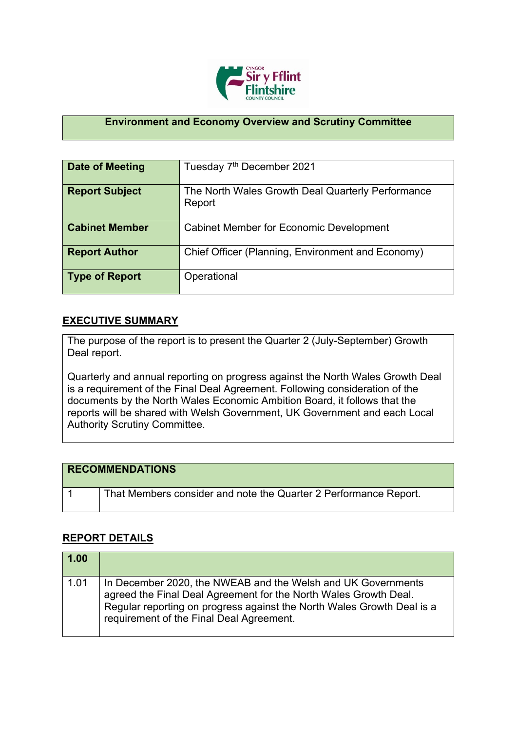

## **Environment and Economy Overview and Scrutiny Committee**

| Date of Meeting       | Tuesday 7 <sup>th</sup> December 2021                       |
|-----------------------|-------------------------------------------------------------|
| <b>Report Subject</b> | The North Wales Growth Deal Quarterly Performance<br>Report |
| <b>Cabinet Member</b> | <b>Cabinet Member for Economic Development</b>              |
| <b>Report Author</b>  | Chief Officer (Planning, Environment and Economy)           |
| <b>Type of Report</b> | Operational                                                 |

## **EXECUTIVE SUMMARY**

The purpose of the report is to present the Quarter 2 (July-September) Growth Deal report.

Quarterly and annual reporting on progress against the North Wales Growth Deal is a requirement of the Final Deal Agreement. Following consideration of the documents by the North Wales Economic Ambition Board, it follows that the reports will be shared with Welsh Government, UK Government and each Local Authority Scrutiny Committee.

| <b>RECOMMENDATIONS</b>                                           |
|------------------------------------------------------------------|
| That Members consider and note the Quarter 2 Performance Report. |

## **REPORT DETAILS**

| $\vert$ 1.00 |                                                                                                                                                                                                                                                        |
|--------------|--------------------------------------------------------------------------------------------------------------------------------------------------------------------------------------------------------------------------------------------------------|
| 1.01         | In December 2020, the NWEAB and the Welsh and UK Governments<br>agreed the Final Deal Agreement for the North Wales Growth Deal.<br>Regular reporting on progress against the North Wales Growth Deal is a<br>requirement of the Final Deal Agreement. |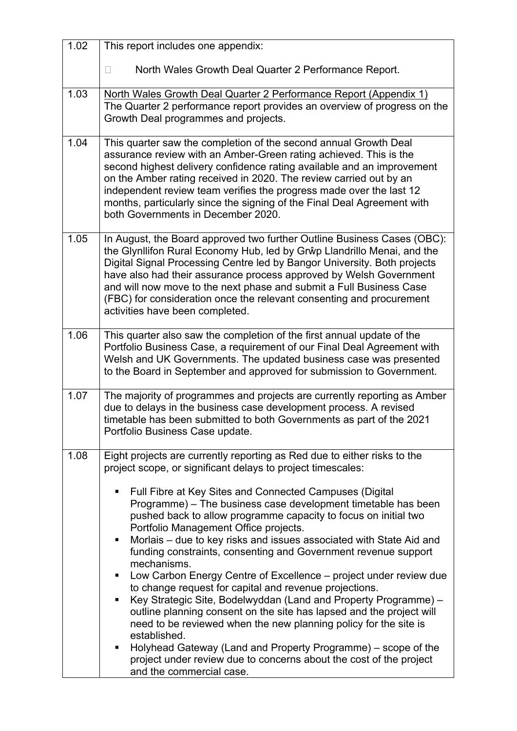| 1.02 | This report includes one appendix:                                                                                                                                                                                                                                                                                                                                                                                                                                                                                                                                                                                                                                                                                                                                                                                                                   |  |
|------|------------------------------------------------------------------------------------------------------------------------------------------------------------------------------------------------------------------------------------------------------------------------------------------------------------------------------------------------------------------------------------------------------------------------------------------------------------------------------------------------------------------------------------------------------------------------------------------------------------------------------------------------------------------------------------------------------------------------------------------------------------------------------------------------------------------------------------------------------|--|
|      | North Wales Growth Deal Quarter 2 Performance Report.<br>П                                                                                                                                                                                                                                                                                                                                                                                                                                                                                                                                                                                                                                                                                                                                                                                           |  |
| 1.03 | North Wales Growth Deal Quarter 2 Performance Report (Appendix 1)<br>The Quarter 2 performance report provides an overview of progress on the<br>Growth Deal programmes and projects.                                                                                                                                                                                                                                                                                                                                                                                                                                                                                                                                                                                                                                                                |  |
| 1.04 | This quarter saw the completion of the second annual Growth Deal<br>assurance review with an Amber-Green rating achieved. This is the<br>second highest delivery confidence rating available and an improvement<br>on the Amber rating received in 2020. The review carried out by an<br>independent review team verifies the progress made over the last 12<br>months, particularly since the signing of the Final Deal Agreement with<br>both Governments in December 2020.                                                                                                                                                                                                                                                                                                                                                                        |  |
| 1.05 | In August, the Board approved two further Outline Business Cases (OBC):<br>the Glynllifon Rural Economy Hub, led by Grŵp Llandrillo Menai, and the<br>Digital Signal Processing Centre led by Bangor University. Both projects<br>have also had their assurance process approved by Welsh Government<br>and will now move to the next phase and submit a Full Business Case<br>(FBC) for consideration once the relevant consenting and procurement<br>activities have been completed.                                                                                                                                                                                                                                                                                                                                                               |  |
| 1.06 | This quarter also saw the completion of the first annual update of the<br>Portfolio Business Case, a requirement of our Final Deal Agreement with<br>Welsh and UK Governments. The updated business case was presented<br>to the Board in September and approved for submission to Government.                                                                                                                                                                                                                                                                                                                                                                                                                                                                                                                                                       |  |
| 1.07 | The majority of programmes and projects are currently reporting as Amber<br>due to delays in the business case development process. A revised<br>timetable has been submitted to both Governments as part of the 2021<br>Portfolio Business Case update.                                                                                                                                                                                                                                                                                                                                                                                                                                                                                                                                                                                             |  |
| 1.08 | Eight projects are currently reporting as Red due to either risks to the<br>project scope, or significant delays to project timescales:                                                                                                                                                                                                                                                                                                                                                                                                                                                                                                                                                                                                                                                                                                              |  |
|      | Full Fibre at Key Sites and Connected Campuses (Digital<br>п<br>Programme) – The business case development timetable has been<br>pushed back to allow programme capacity to focus on initial two<br>Portfolio Management Office projects.<br>Morlais – due to key risks and issues associated with State Aid and<br>٠<br>funding constraints, consenting and Government revenue support<br>mechanisms.<br>Low Carbon Energy Centre of Excellence – project under review due<br>٠<br>to change request for capital and revenue projections.<br>Key Strategic Site, Bodelwyddan (Land and Property Programme) -<br>٠<br>outline planning consent on the site has lapsed and the project will<br>need to be reviewed when the new planning policy for the site is<br>established.<br>Holyhead Gateway (Land and Property Programme) – scope of the<br>п |  |
|      | project under review due to concerns about the cost of the project<br>and the commercial case.                                                                                                                                                                                                                                                                                                                                                                                                                                                                                                                                                                                                                                                                                                                                                       |  |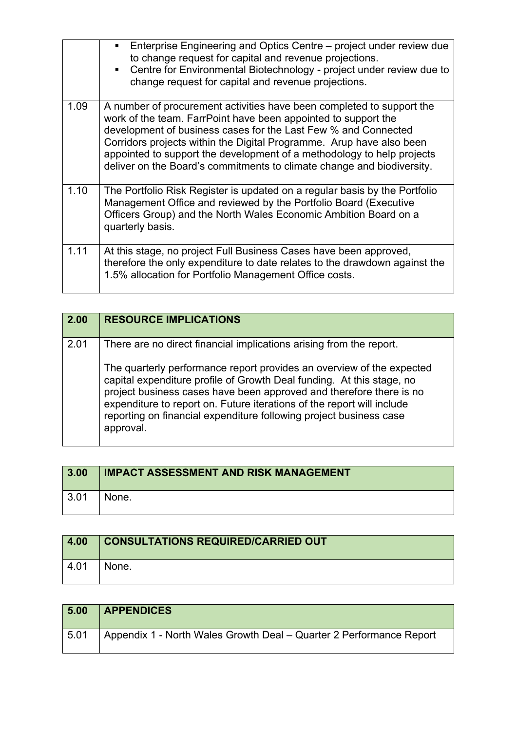|      | Enterprise Engineering and Optics Centre – project under review due<br>$\blacksquare$<br>to change request for capital and revenue projections.<br>Centre for Environmental Biotechnology - project under review due to<br>$\blacksquare$<br>change request for capital and revenue projections.                                                                                                                                      |
|------|---------------------------------------------------------------------------------------------------------------------------------------------------------------------------------------------------------------------------------------------------------------------------------------------------------------------------------------------------------------------------------------------------------------------------------------|
| 1.09 | A number of procurement activities have been completed to support the<br>work of the team. FarrPoint have been appointed to support the<br>development of business cases for the Last Few % and Connected<br>Corridors projects within the Digital Programme. Arup have also been<br>appointed to support the development of a methodology to help projects<br>deliver on the Board's commitments to climate change and biodiversity. |
| 1.10 | The Portfolio Risk Register is updated on a regular basis by the Portfolio<br>Management Office and reviewed by the Portfolio Board (Executive<br>Officers Group) and the North Wales Economic Ambition Board on a<br>quarterly basis.                                                                                                                                                                                                |
| 1.11 | At this stage, no project Full Business Cases have been approved,<br>therefore the only expenditure to date relates to the drawdown against the<br>1.5% allocation for Portfolio Management Office costs.                                                                                                                                                                                                                             |

| 2.00 | <b>RESOURCE IMPLICATIONS</b>                                                                                                                                                                                                                                                                                                                                                       |
|------|------------------------------------------------------------------------------------------------------------------------------------------------------------------------------------------------------------------------------------------------------------------------------------------------------------------------------------------------------------------------------------|
| 2.01 | There are no direct financial implications arising from the report.                                                                                                                                                                                                                                                                                                                |
|      | The quarterly performance report provides an overview of the expected<br>capital expenditure profile of Growth Deal funding. At this stage, no<br>project business cases have been approved and therefore there is no<br>expenditure to report on. Future iterations of the report will include<br>reporting on financial expenditure following project business case<br>approval. |

| 3.00               | <b>IMPACT ASSESSMENT AND RISK MANAGEMENT</b> |
|--------------------|----------------------------------------------|
| $\vert 3.01 \vert$ | None.                                        |

| 4.00         | <b>CONSULTATIONS REQUIRED/CARRIED OUT</b> |
|--------------|-------------------------------------------|
| $\vert$ 4.01 | None.                                     |

| 5.00 | <b>APPENDICES</b>                                                   |
|------|---------------------------------------------------------------------|
| 5.01 | Appendix 1 - North Wales Growth Deal – Quarter 2 Performance Report |